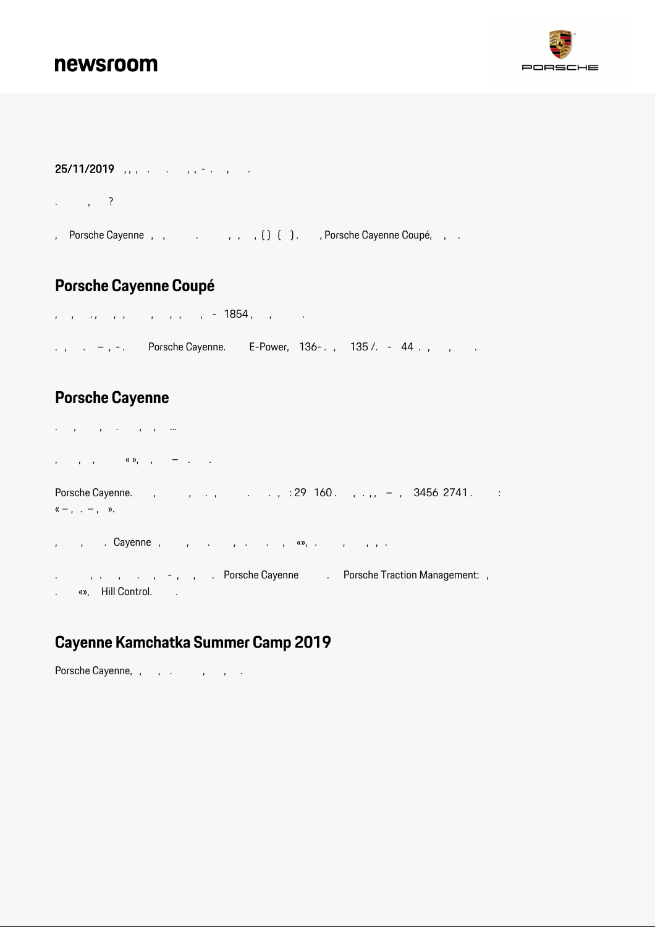# newsroom



### 25/11/2019 , , , . . , , - . , .

. , ?

, Porsche Cayenne , , , , , , , , , , , , , , , Porsche Cayenne Coupé, , .

# **Porsche Cayenne Coupé**

, , . , , , , , , , - 1854 , , . ., . –, –. Porsche Cayenne. E-Power,  $136$ -.,  $135$  /. - 44., , .

### **Porsche Cayenne**

. , , . , , ... , , , « », , – . . Porsche Cayenne. , , , , , , , , , 29 160. , , , , – , 3456 2741. :  $\kappa - 1$ , . – , ». , , . Cayenne , , . , . . , «», . , , , .

. , , , , , , , , Porsche Cayenne . Porsche Traction Management: . «», Hill Control. .

# **Cayenne Kamchatka Summer Camp 2019**

Porsche Cayenne, , , , , , , , ,